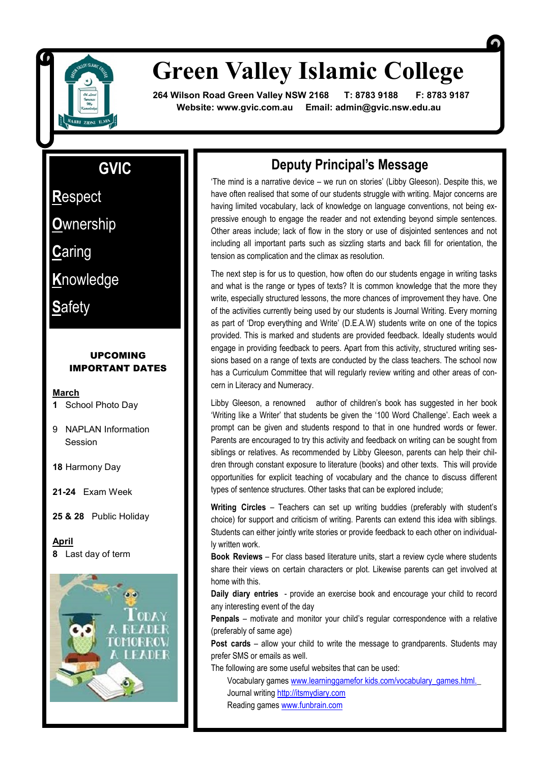

# **Green Valley Islamic College**

 **264 Wilson Road Green Valley NSW 2168 T: 8783 9188 F: 8783 9187 Website: www.gvic.com.au Email: [admin@gvic.nsw.edu.au](mailto:admin@gvic.com.au)**

### **GVIC**

**R**espect **R**espect

**O**wnership **O**wnership

**C**aring **K**nowledge<br>The contract of the contract of the contract of the contract of the contract of the contract of the contract o<br>The contract of the contract of the contract of the contract of the contract of the contract of the **C**aring

**S**<br>Safety **K**nowledge

**S**afety

#### UPCOMING IMPORTANT DATES

#### **March**

- **1** School Photo Day
- 9 NAPLAN Information Session
- **18** Harmony Day

**21-24** Exam Week

**25 & 28** Public Holiday

**April 8** Last day of term



### **Deputy Principal's Message**

'The mind is a narrative device – we run on stories' (Libby Gleeson). Despite this, we have often realised that some of our students struggle with writing. Major concerns are having limited vocabulary, lack of knowledge on language conventions, not being expressive enough to engage the reader and not extending beyond simple sentences. Other areas include; lack of flow in the story or use of disjointed sentences and not including all important parts such as sizzling starts and back fill for orientation, the tension as complication and the climax as resolution.

The next step is for us to question, how often do our students engage in writing tasks and what is the range or types of texts? It is common knowledge that the more they write, especially structured lessons, the more chances of improvement they have. One of the activities currently being used by our students is Journal Writing. Every morning as part of 'Drop everything and Write' (D.E.A.W) students write on one of the topics provided. This is marked and students are provided feedback. Ideally students would engage in providing feedback to peers. Apart from this activity, structured writing sessions based on a range of texts are conducted by the class teachers. The school now has a Curriculum Committee that will regularly review writing and other areas of concern in Literacy and Numeracy.

Libby Gleeson, a renowned author of children's book has suggested in her book 'Writing like a Writer' that students be given the '100 Word Challenge'. Each week a prompt can be given and students respond to that in one hundred words or fewer. Parents are encouraged to try this activity and feedback on writing can be sought from siblings or relatives. As recommended by Libby Gleeson, parents can help their children through constant exposure to literature (books) and other texts. This will provide opportunities for explicit teaching of vocabulary and the chance to discuss different types of sentence structures. Other tasks that can be explored include;

**Writing Circles** – Teachers can set up writing buddies (preferably with student's choice) for support and criticism of writing. Parents can extend this idea with siblings. Students can either jointly write stories or provide feedback to each other on individually written work.

**Book Reviews** – For class based literature units, start a review cycle where students share their views on certain characters or plot. Likewise parents can get involved at home with this.

**Daily diary entries** - provide an exercise book and encourage your child to record any interesting event of the day

**Penpals** – motivate and monitor your child's regular correspondence with a relative (preferably of same age)

**Post cards** – allow your child to write the message to grandparents. Students may prefer SMS or emails as well.

The following are some useful websites that can be used:

Vocabulary games www.learninggamefor kids.com/vocabulary\_games.html. Journal writing <http://itsmydiary.com> Reading games [www.funbrain.com](http://www.funbrain.com)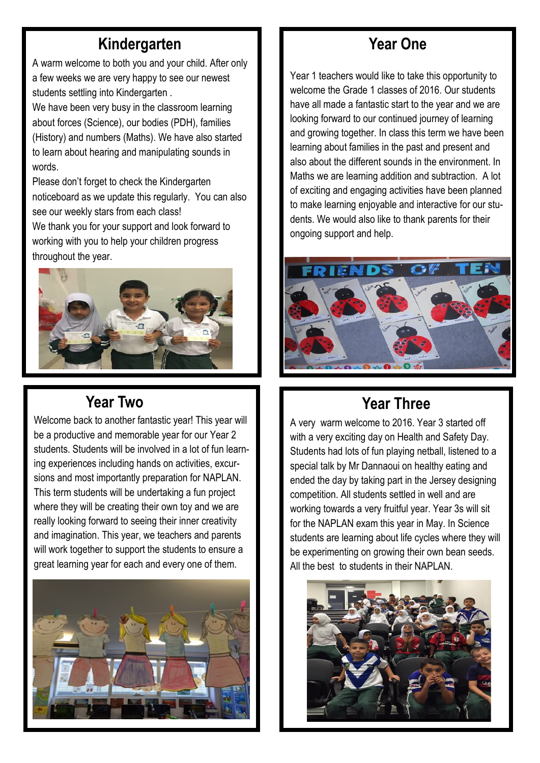## **Kindergarten**

A warm welcome to both you and your child. After only a few weeks we are very happy to see our newest students settling into Kindergarten .

We have been very busy in the classroom learning about forces (Science), our bodies (PDH), families (History) and numbers (Maths). We have also started to learn about hearing and manipulating sounds in words.

Please don't forget to check the Kindergarten noticeboard as we update this regularly. You can also see our weekly stars from each class!

We thank you for your support and look forward to working with you to help your children progress throughout the year.



# **Year Two**

Welcome back to another fantastic year! This year will be a productive and memorable year for our Year 2 students. Students will be involved in a lot of fun learning experiences including hands on activities, excursions and most importantly preparation for NAPLAN. This term students will be undertaking a fun project where they will be creating their own toy and we are really looking forward to seeing their inner creativity and imagination. This year, we teachers and parents will work together to support the students to ensure a great learning year for each and every one of them.



# **Year One**

Year 1 teachers would like to take this opportunity to welcome the Grade 1 classes of 2016. Our students have all made a fantastic start to the year and we are looking forward to our continued journey of learning and growing together. In class this term we have been learning about families in the past and present and also about the different sounds in the environment. In Maths we are learning addition and subtraction. A lot of exciting and engaging activities have been planned to make learning enjoyable and interactive for our students. We would also like to thank parents for their ongoing support and help.



# **Year Three**

A very warm welcome to 2016. Year 3 started off with a very exciting day on Health and Safety Day. Students had lots of fun playing netball, listened to a special talk by Mr Dannaoui on healthy eating and ended the day by taking part in the Jersey designing competition. All students settled in well and are working towards a very fruitful year. Year 3s will sit for the NAPLAN exam this year in May. In Science students are learning about life cycles where they will be experimenting on growing their own bean seeds. All the best to students in their NAPLAN.

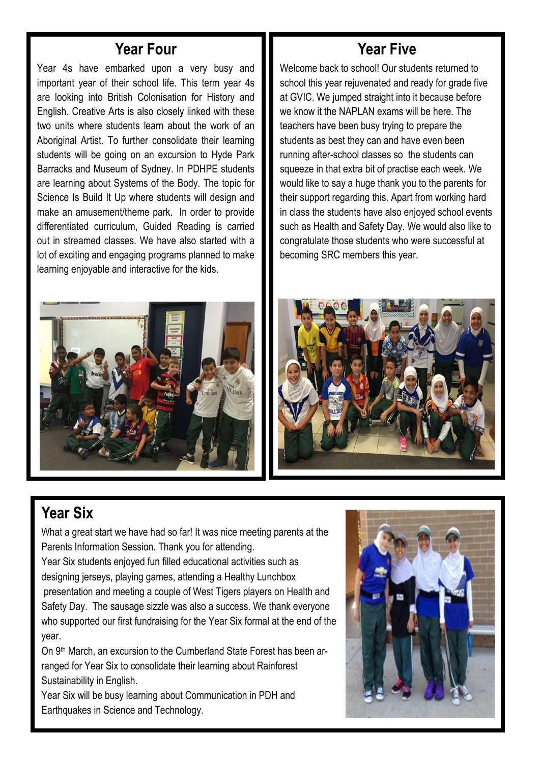### **Year Four**

Year 4s have embarked upon a very busy and important year of their school life. This term year 4s are looking into British Colonisation for History and English. Creative Arts is also closely linked with these two units where students learn about the work of an Aboriginal Artist. To further consolidate their learning students will be going on an excursion to Hyde Park Barracks and Museum of Sydney. In PDHPE students are learning about Systems of the Body. The topic for Science Is Build It Up where students will design and make an amusement/theme park. In order to provide differentiated curriculum, Guided Reading is carried out in streamed classes. We have also started with a lot of exciting and engaging programs planned to make learning enjoyable and interactive for the kids.

### **Year Five**

Welcome back to school! Our students returned to school this year rejuvenated and ready for grade five at GVIC. We jumped straight into it because before we know it the NAPLAN exams will be here. The teachers have been busy trying to prepare the students as best they can and have even been running after-school classes so the students can squeeze in that extra bit of practise each week. We would like to say a huge thank you to the parents for their support regarding this. Apart from working hard in class the students have also enjoyed school events such as Health and Safety Day. We would also like to congratulate those students who were successful at becoming SRC members this year.





## **Year Six**

What a great start we have had so far! It was nice meeting parents at the Parents Information Session. Thank you for attending.

Year Six students enjoyed fun filled educational activities such as designing jerseys, playing games, attending a Healthy Lunchbox presentation and meeting a couple of West Tigers players on Health and Safety Day. The sausage sizzle was also a success. We thank everyone who supported our first fundraising for the Year Six formal at the end of the year.

On 9th March, an excursion to the Cumberland State Forest has been arranged for Year Six to consolidate their learning about Rainforest Sustainability in English.

Year Six will be busy learning about Communication in PDH and Earthquakes in Science and Technology.